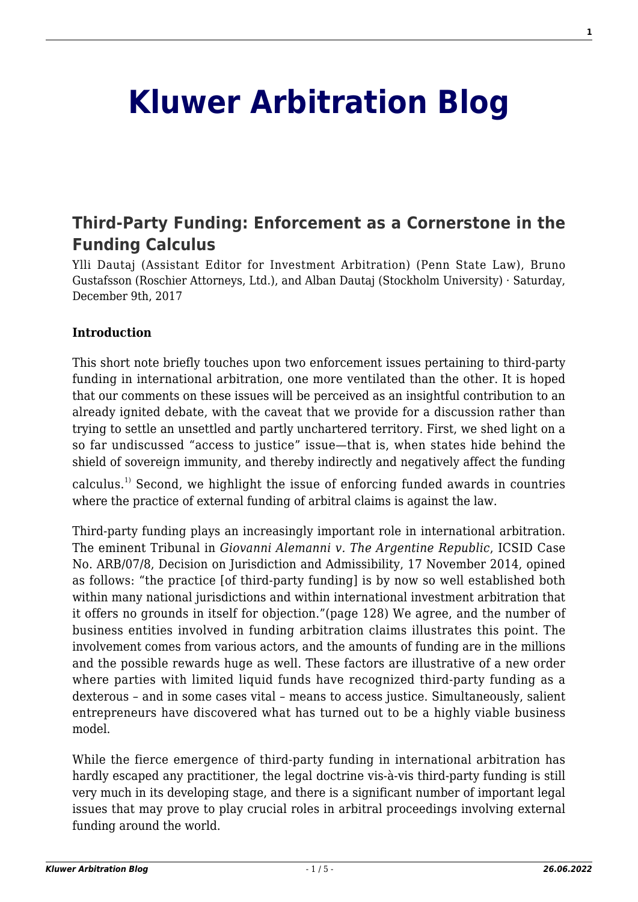# **[Kluwer Arbitration Blog](http://arbitrationblog.kluwerarbitration.com/)**

## **[Third-Party Funding: Enforcement as a Cornerstone in the](http://arbitrationblog.kluwerarbitration.com/2017/12/09/states-taking-two-bites-apple-chewing-non-complying-states-enforcement-stage-can-create-issues-third-party-funding-calculus-thus-hinder-investor-accessing-j/) [Funding Calculus](http://arbitrationblog.kluwerarbitration.com/2017/12/09/states-taking-two-bites-apple-chewing-non-complying-states-enforcement-stage-can-create-issues-third-party-funding-calculus-thus-hinder-investor-accessing-j/)**

Ylli Dautaj (Assistant Editor for Investment Arbitration) (Penn State Law), Bruno Gustafsson (Roschier Attorneys, Ltd.), and Alban Dautaj (Stockholm University) · Saturday, December 9th, 2017

#### **Introduction**

This short note briefly touches upon two enforcement issues pertaining to third-party funding in international arbitration, one more ventilated than the other. It is hoped that our comments on these issues will be perceived as an insightful contribution to an already ignited debate, with the caveat that we provide for a discussion rather than trying to settle an unsettled and partly unchartered territory. First, we shed light on a so far undiscussed "access to justice" issue—that is, when states hide behind the shield of sovereign immunity, and thereby indirectly and negatively affect the funding

calculus.1) Second, we highlight the issue of enforcing funded awards in countries where the practice of external funding of arbitral claims is against the law.

Third-party funding plays an increasingly important role in international arbitration. The eminent Tribunal in *Giovanni Alemanni v. The Argentine Republic*, ICSID Case No. ARB/07/8, Decision on Jurisdiction and Admissibility, 17 November 2014, opined as follows: "the practice [of third-party funding] is by now so well established both within many national jurisdictions and within international investment arbitration that it offers no grounds in itself for objection."(page 128) We agree, and the number of business entities involved in funding arbitration claims illustrates this point. The involvement comes from various actors, and the amounts of funding are in the millions and the possible rewards huge as well. These factors are illustrative of a new order where parties with limited liquid funds have recognized third-party funding as a dexterous – and in some cases vital – means to access justice. Simultaneously, salient entrepreneurs have discovered what has turned out to be a highly viable business model.

While the fierce emergence of third-party funding in international arbitration has hardly escaped any practitioner, the legal doctrine vis-à-vis third-party funding is still very much in its developing stage, and there is a significant number of important legal issues that may prove to play crucial roles in arbitral proceedings involving external funding around the world.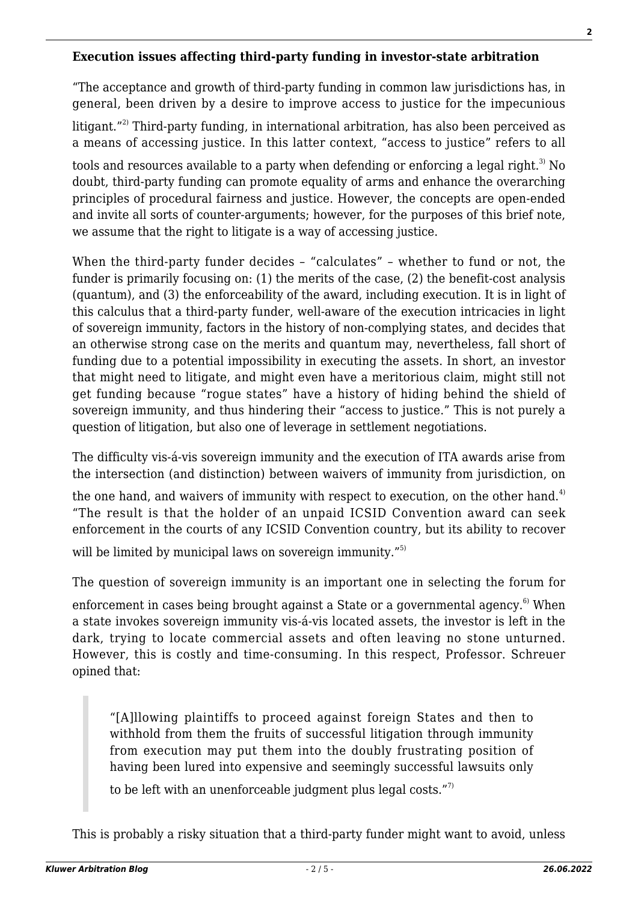#### **Execution issues affecting third-party funding in investor-state arbitration**

"The acceptance and growth of third-party funding in common law jurisdictions has, in general, been driven by a desire to improve access to justice for the impecunious

litigant. $12$ <sup>2)</sup> Third-party funding, in international arbitration, has also been perceived as a means of accessing justice. In this latter context, "access to justice" refers to all

tools and resources available to a party when defending or enforcing a legal right.<sup>3)</sup> No doubt, third-party funding can promote equality of arms and enhance the overarching principles of procedural fairness and justice. However, the concepts are open-ended and invite all sorts of counter-arguments; however, for the purposes of this brief note, we assume that the right to litigate is a way of accessing justice.

When the third-party funder decides – "calculates" – whether to fund or not, the funder is primarily focusing on: (1) the merits of the case, (2) the benefit-cost analysis (quantum), and (3) the enforceability of the award, including execution. It is in light of this calculus that a third-party funder, well-aware of the execution intricacies in light of sovereign immunity, factors in the history of non-complying states, and decides that an otherwise strong case on the merits and quantum may, nevertheless, fall short of funding due to a potential impossibility in executing the assets. In short, an investor that might need to litigate, and might even have a meritorious claim, might still not get funding because "rogue states" have a history of hiding behind the shield of sovereign immunity, and thus hindering their "access to justice." This is not purely a question of litigation, but also one of leverage in settlement negotiations.

The difficulty vis-á-vis sovereign immunity and the execution of ITA awards arise from the intersection (and distinction) between waivers of immunity from jurisdiction, on

the one hand, and waivers of immunity with respect to execution, on the other hand.<sup>4)</sup> "The result is that the holder of an unpaid ICSID Convention award can seek enforcement in the courts of any ICSID Convention country, but its ability to recover

will be limited by municipal laws on sovereign immunity."<sup>5)</sup>

The question of sovereign immunity is an important one in selecting the forum for

enforcement in cases being brought against a State or a governmental agency.<sup>6)</sup> When a state invokes sovereign immunity vis-á-vis located assets, the investor is left in the dark, trying to locate commercial assets and often leaving no stone unturned. However, this is costly and time-consuming. In this respect, Professor. Schreuer opined that:

"[A]llowing plaintiffs to proceed against foreign States and then to withhold from them the fruits of successful litigation through immunity from execution may put them into the doubly frustrating position of having been lured into expensive and seemingly successful lawsuits only

to be left with an unenforceable judgment plus legal costs."<sup>7)</sup>

This is probably a risky situation that a third-party funder might want to avoid, unless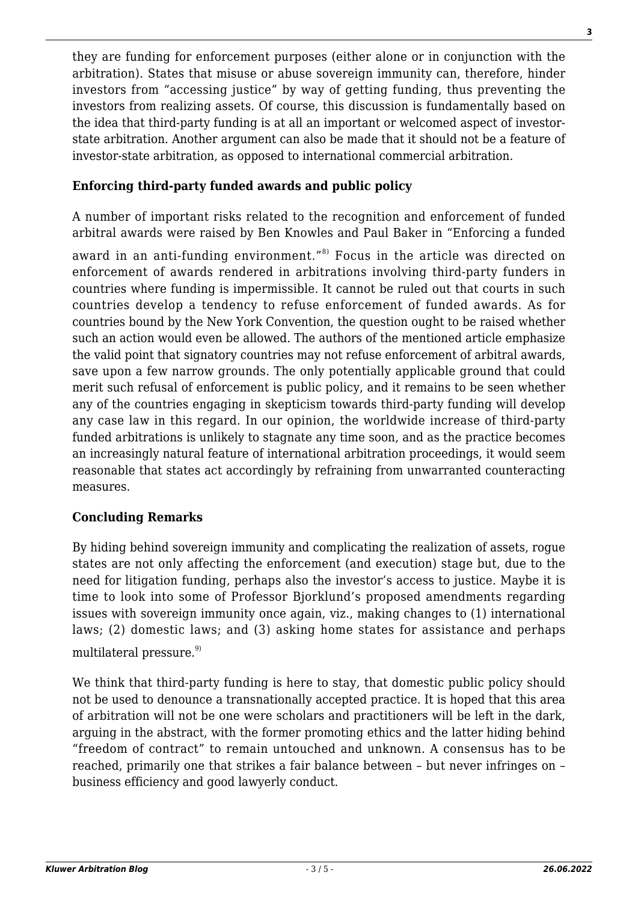they are funding for enforcement purposes (either alone or in conjunction with the arbitration). States that misuse or abuse sovereign immunity can, therefore, hinder investors from "accessing justice" by way of getting funding, thus preventing the investors from realizing assets. Of course, this discussion is fundamentally based on the idea that third-party funding is at all an important or welcomed aspect of investorstate arbitration. Another argument can also be made that it should not be a feature of investor-state arbitration, as opposed to international commercial arbitration.

#### **Enforcing third-party funded awards and public policy**

A number of important risks related to the recognition and enforcement of funded arbitral awards were raised by Ben Knowles and Paul Baker in "Enforcing a funded

award in an anti-funding environment."<sup>8)</sup> Focus in the article was directed on enforcement of awards rendered in arbitrations involving third-party funders in countries where funding is impermissible. It cannot be ruled out that courts in such countries develop a tendency to refuse enforcement of funded awards. As for countries bound by the New York Convention, the question ought to be raised whether such an action would even be allowed. The authors of the mentioned article emphasize the valid point that signatory countries may not refuse enforcement of arbitral awards, save upon a few narrow grounds. The only potentially applicable ground that could merit such refusal of enforcement is public policy, and it remains to be seen whether any of the countries engaging in skepticism towards third-party funding will develop any case law in this regard. In our opinion, the worldwide increase of third-party funded arbitrations is unlikely to stagnate any time soon, and as the practice becomes an increasingly natural feature of international arbitration proceedings, it would seem reasonable that states act accordingly by refraining from unwarranted counteracting measures.

### **Concluding Remarks**

By hiding behind sovereign immunity and complicating the realization of assets, rogue states are not only affecting the enforcement (and execution) stage but, due to the need for litigation funding, perhaps also the investor's access to justice. Maybe it is time to look into some of Professor Bjorklund's proposed amendments regarding issues with sovereign immunity once again, viz., making changes to (1) international laws; (2) domestic laws; and (3) asking home states for assistance and perhaps multilateral pressure. $9)$ 

We think that third-party funding is here to stay, that domestic public policy should not be used to denounce a transnationally accepted practice. It is hoped that this area of arbitration will not be one were scholars and practitioners will be left in the dark, arguing in the abstract, with the former promoting ethics and the latter hiding behind "freedom of contract" to remain untouched and unknown. A consensus has to be reached, primarily one that strikes a fair balance between – but never infringes on – business efficiency and good lawyerly conduct.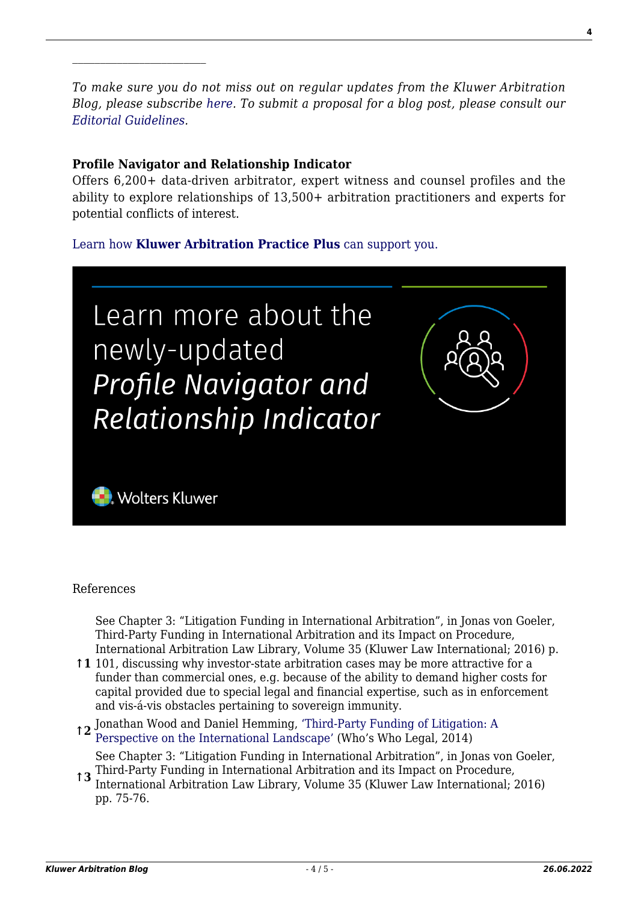*To make sure you do not miss out on regular updates from the Kluwer Arbitration Blog, please subscribe [here](http://arbitrationblog.kluwerarbitration.com/newsletter/). To submit a proposal for a blog post, please consult our [Editorial Guidelines.](http://arbitrationblog.kluwerarbitration.com/editorial-guidelines/)*

#### **Profile Navigator and Relationship Indicator**

Offers 6,200+ data-driven arbitrator, expert witness and counsel profiles and the ability to explore relationships of 13,500+ arbitration practitioners and experts for potential conflicts of interest.

[Learn how](https://www.wolterskluwer.com/en/solutions/kluwerarbitration/practiceplus?utm_source=arbitrationblog&utm_medium=articleCTA&utm_campaign=article-banner) **[Kluwer Arbitration Practice Plus](https://www.wolterskluwer.com/en/solutions/kluwerarbitration/practiceplus?utm_source=arbitrationblog&utm_medium=articleCTA&utm_campaign=article-banner)** [can support you.](https://www.wolterskluwer.com/en/solutions/kluwerarbitration/practiceplus?utm_source=arbitrationblog&utm_medium=articleCTA&utm_campaign=article-banner)



#### References

See Chapter 3: "Litigation Funding in International Arbitration", in Jonas von Goeler, Third-Party Funding in International Arbitration and its Impact on Procedure, International Arbitration Law Library, Volume 35 (Kluwer Law International; 2016) p.

**↑1** 101, discussing why investor-state arbitration cases may be more attractive for a funder than commercial ones, e.g. because of the ability to demand higher costs for capital provided due to special legal and financial expertise, such as in enforcement and vis-á-vis obstacles pertaining to sovereign immunity.

**↑2** Jonathan Wood and Daniel Hemming, ['Third-Party Funding of Litigation: A](http://whoswholegal.com/news/features/article/31825/third-party-funding-litigation-perspective-international-landscape) [Perspective on the International Landscape'](http://whoswholegal.com/news/features/article/31825/third-party-funding-litigation-perspective-international-landscape) (Who's Who Legal, 2014)

**↑3** Third-Party Funding in International Arbitration and its Impact on Procedure, See Chapter 3: "Litigation Funding in International Arbitration", in Jonas von Goeler,

International Arbitration Law Library, Volume 35 (Kluwer Law International; 2016) pp. 75-76.